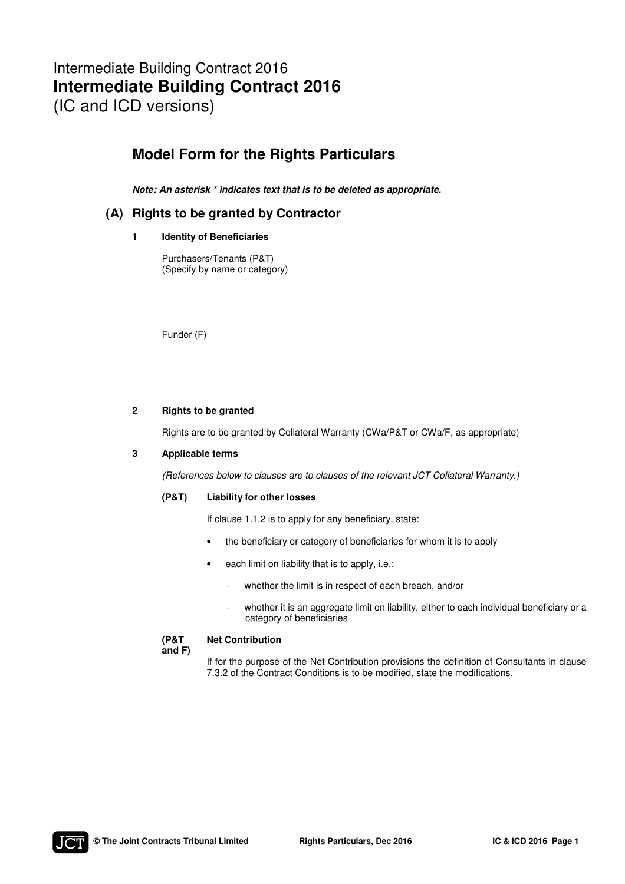# Intermediate Building Contract 2016 **Intermediate Building Contract 2016**  (IC and ICD versions)

# **Model Form for the Rights Particulars**

*Note: An asterisk \* indicates text that is to be deleted as appropriate.* 

## **(A) Rights to be granted by Contractor**

### **1 Identity of Beneficiaries**

Purchasers/Tenants (P&T) (Specify by name or category)

Funder (F)

### **2 Rights to be granted**

Rights are to be granted by Collateral Warranty (CWa/P&T or CWa/F, as appropriate)

### **3 Applicable terms**

(References below to clauses are to clauses of the relevant JCT Collateral Warranty.)

### **(P&T) Liability for other losses**

If clause 1.1.2 is to apply for any beneficiary, state:

- the beneficiary or category of beneficiaries for whom it is to apply
- each limit on liability that is to apply, i.e.:
	- whether the limit is in respect of each breach, and/or
	- whether it is an aggregate limit on liability, either to each individual beneficiary or a category of beneficiaries

#### **(P&T Net Contribution**

**and F)** 

If for the purpose of the Net Contribution provisions the definition of Consultants in clause 7.3.2 of the Contract Conditions is to be modified, state the modifications.